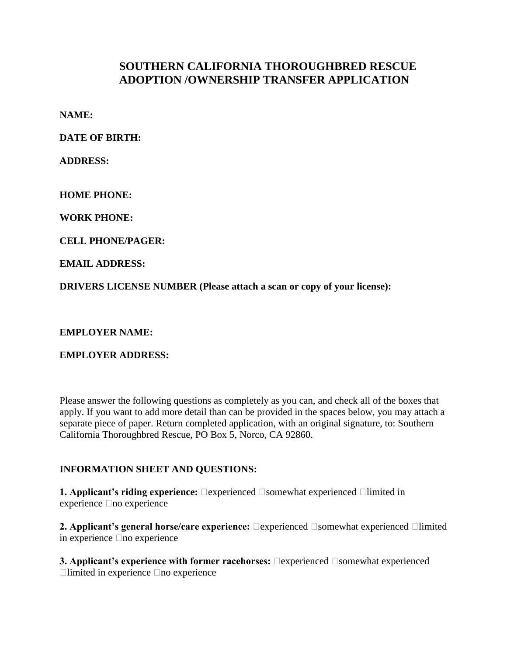# **SOUTHERN CALIFORNIA THOROUGHBRED RESCUE ADOPTION /OWNERSHIP TRANSFER APPLICATION**

**NAME:**

**DATE OF BIRTH:**

**ADDRESS:**

**HOME PHONE:**

**WORK PHONE:**

**CELL PHONE/PAGER:**

**EMAIL ADDRESS:**

**DRIVERS LICENSE NUMBER (Please attach a scan or copy of your license):** 

**EMPLOYER NAME:** 

**EMPLOYER ADDRESS:**

Please answer the following questions as completely as you can, and check all of the boxes that apply. If you want to add more detail than can be provided in the spaces below, you may attach a separate piece of paper. Return completed application, with an original signature, to: Southern California Thoroughbred Rescue, PO Box 5, Norco, CA 92860.

### **INFORMATION SHEET AND QUESTIONS:**

**1. Applicant's riding experience:** Dexperienced Disomewhat experienced Dlimited in  $e$  experience  $\Box$  no experience

**2. Applicant's general horse/care experience:** Dexperienced Dsomewhat experienced Dlimited in experience  $\Box$  no experience

**3. Applicant's experience with former racehorses:**  $\Box$ experienced  $\Box$ somewhat experienced  $\Box$ limited in experience  $\Box$ no experience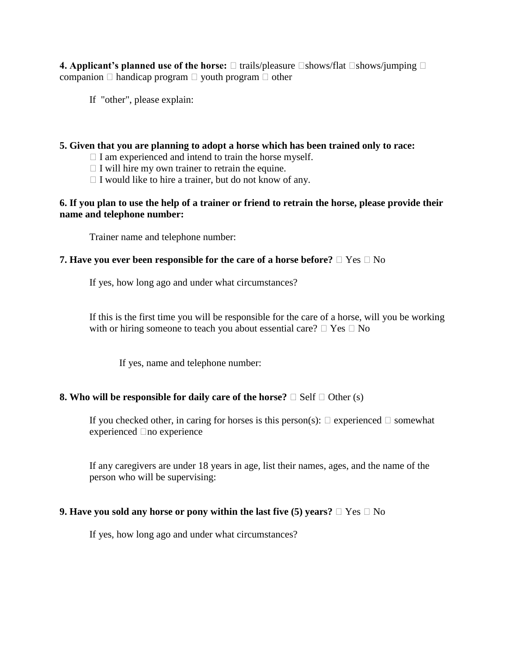**4. Applicant's planned use of the horse:**  $\Box$  trails/pleasure  $\Box$ shows/flat  $\Box$ shows/jumping  $\Box$ companion  $\Box$  handicap program  $\Box$  youth program  $\Box$  other

If "other", please explain:

### **5. Given that you are planning to adopt a horse which has been trained only to race:**

- $\Box$  I am experienced and intend to train the horse myself.
- $\Box$  I will hire my own trainer to retrain the equine.
- $\Box$  I would like to hire a trainer, but do not know of any.

### **6. If you plan to use the help of a trainer or friend to retrain the horse, please provide their name and telephone number:**

Trainer name and telephone number:

### **7. Have you ever been responsible for the care of a horse before?**  $\Box$  Yes  $\Box$  No

If yes, how long ago and under what circumstances?

If this is the first time you will be responsible for the care of a horse, will you be working with or hiring someone to teach you about essential care?  $\Box$  Yes  $\Box$  No

If yes, name and telephone number:

#### **8. Who will be responsible for daily care of the horse?**  $\Box$  Self  $\Box$  Other (s)

If you checked other, in caring for horses is this person(s):  $\Box$  experienced  $\Box$  somewhat experienced  $\Box$ no experience

If any caregivers are under 18 years in age, list their names, ages, and the name of the person who will be supervising:

#### **9. Have you sold any horse or pony within the last five (5) years?**  $\Box$  Yes  $\Box$  No

If yes, how long ago and under what circumstances?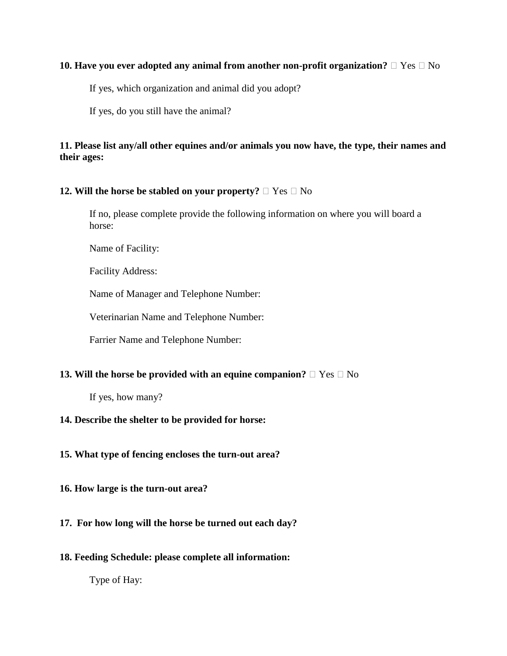#### **10. Have you ever adopted any animal from another non-profit organization?**  $\Box$  Yes  $\Box$  No

If yes, which organization and animal did you adopt?

If yes, do you still have the animal?

## **11. Please list any/all other equines and/or animals you now have, the type, their names and their ages:**

### **12. Will the horse be stabled on your property?**  $\Box$  Yes  $\Box$  No

If no, please complete provide the following information on where you will board a horse:

Name of Facility:

Facility Address:

Name of Manager and Telephone Number:

Veterinarian Name and Telephone Number:

Farrier Name and Telephone Number:

### **13. Will the horse be provided with an equine companion?**  $\Box$  Yes  $\Box$  No

If yes, how many?

### **14. Describe the shelter to be provided for horse:**

### **15. What type of fencing encloses the turn-out area?**

**16. How large is the turn-out area?**

### **17. For how long will the horse be turned out each day?**

**18. Feeding Schedule: please complete all information:**

Type of Hay: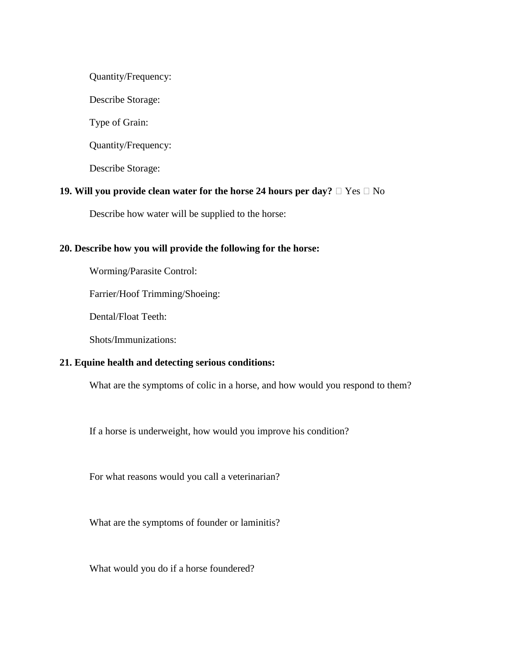Quantity/Frequency:

Describe Storage:

Type of Grain:

Quantity/Frequency:

Describe Storage:

### **19. Will you provide clean water for the horse 24 hours per day?**  $\Box$  Yes  $\Box$  No

Describe how water will be supplied to the horse:

#### **20. Describe how you will provide the following for the horse:**

Worming/Parasite Control:

Farrier/Hoof Trimming/Shoeing:

Dental/Float Teeth:

Shots/Immunizations:

#### **21. Equine health and detecting serious conditions:**

What are the symptoms of colic in a horse, and how would you respond to them?

If a horse is underweight, how would you improve his condition?

For what reasons would you call a veterinarian?

What are the symptoms of founder or laminitis?

What would you do if a horse foundered?